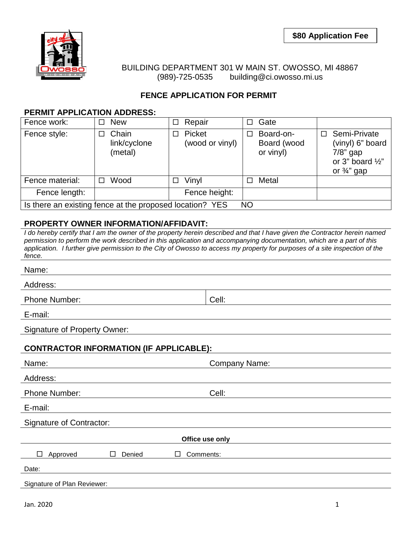

BUILDING DEPARTMENT 301 W MAIN ST. OWOSSO, MI 48867 (989)-725-0535 building@ci.owosso.mi.us

## **FENCE APPLICATION FOR PERMIT**

## **PERMIT APPLICATION ADDRESS:**

| Fence work:                                                           | <b>New</b>                            | Repair<br>□<br>$\Box$          | Gate                                  |                                                                                                               |  |  |  |  |  |  |  |
|-----------------------------------------------------------------------|---------------------------------------|--------------------------------|---------------------------------------|---------------------------------------------------------------------------------------------------------------|--|--|--|--|--|--|--|
| Fence style:                                                          | Chain<br>П<br>link/cyclone<br>(metal) | Picket<br>П<br>(wood or vinyl) | Board-on-<br>Board (wood<br>or vinyl) | Semi-Private<br>П<br>(vinyl) 6" board<br>$7/8$ " gap<br>or 3" board $\frac{1}{2}$ "<br>or $\frac{3}{4}$ " gap |  |  |  |  |  |  |  |
| Fence material:                                                       | Wood<br>П                             | Vinyl<br>П<br>$\Box$           | Metal                                 |                                                                                                               |  |  |  |  |  |  |  |
| Fence length:                                                         |                                       | Fence height:                  |                                       |                                                                                                               |  |  |  |  |  |  |  |
| Is there an existing fence at the proposed location? YES<br><b>NO</b> |                                       |                                |                                       |                                                                                                               |  |  |  |  |  |  |  |

## **PROPERTY OWNER INFORMATION/AFFIDAVIT:**

*I do hereby certify that I am the owner of the property herein described and that I have given the Contractor herein named permission to perform the work described in this application and accompanying documentation, which are a part of this application. I further give permission to the City of Owosso to access my property for purposes of a site inspection of the fence.*

| Name:                                          |                      |  |  |  |  |  |  |  |  |  |  |
|------------------------------------------------|----------------------|--|--|--|--|--|--|--|--|--|--|
| Address:                                       |                      |  |  |  |  |  |  |  |  |  |  |
| <b>Phone Number:</b>                           | Cell:                |  |  |  |  |  |  |  |  |  |  |
| E-mail:                                        |                      |  |  |  |  |  |  |  |  |  |  |
| <b>Signature of Property Owner:</b>            |                      |  |  |  |  |  |  |  |  |  |  |
| <b>CONTRACTOR INFORMATION (IF APPLICABLE):</b> |                      |  |  |  |  |  |  |  |  |  |  |
| Name:                                          | <b>Company Name:</b> |  |  |  |  |  |  |  |  |  |  |
| Address:                                       |                      |  |  |  |  |  |  |  |  |  |  |
| <b>Phone Number:</b>                           | Cell:                |  |  |  |  |  |  |  |  |  |  |
| E-mail:                                        |                      |  |  |  |  |  |  |  |  |  |  |
| <b>Signature of Contractor:</b>                |                      |  |  |  |  |  |  |  |  |  |  |
| Office use only                                |                      |  |  |  |  |  |  |  |  |  |  |
| $\Box$<br>Approved<br>Denied<br>п<br>П         | Comments:            |  |  |  |  |  |  |  |  |  |  |
| Date:                                          |                      |  |  |  |  |  |  |  |  |  |  |
| Signature of Plan Reviewer:                    |                      |  |  |  |  |  |  |  |  |  |  |